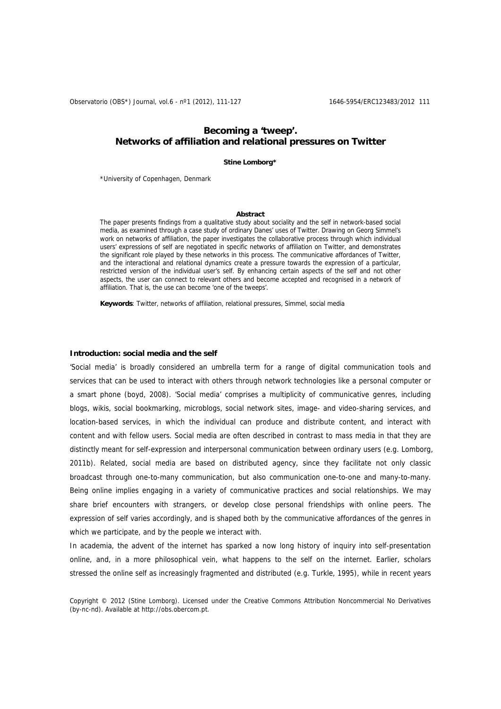# **Becoming a 'tweep'. Networks of affiliation and relational pressures on Twitter**

### **Stine Lomborg\***

\*University of Copenhagen, Denmark

### **Abstract**

The paper presents findings from a qualitative study about sociality and the self in network-based social media, as examined through a case study of ordinary Danes' uses of Twitter. Drawing on Georg Simmel's work on networks of affiliation, the paper investigates the collaborative process through which individual users' expressions of self are negotiated in specific networks of affiliation on Twitter, and demonstrates the significant role played by these networks in this process. The communicative affordances of Twitter, and the interactional and relational dynamics create a pressure towards the expression of a particular, restricted version of the individual user's self. By enhancing certain aspects of the self and not other aspects, the user can connect to relevant others and become accepted and recognised in a network of affiliation. That is, the use can become 'one of the tweeps'.

**Keywords**: Twitter, networks of affiliation, relational pressures, Simmel, social media

### **Introduction: social media and the self**

'Social media' is broadly considered an umbrella term for a range of digital communication tools and services that can be used to interact with others through network technologies like a personal computer or a smart phone (boyd, 2008). 'Social media' comprises a multiplicity of communicative genres, including blogs, wikis, social bookmarking, microblogs, social network sites, image- and video-sharing services, and location-based services, in which the individual can produce and distribute content, and interact with content and with fellow users. Social media are often described in contrast to mass media in that they are distinctly meant for self-expression and interpersonal communication between ordinary users (e.g. Lomborg, 2011b). Related, social media are based on distributed agency, since they facilitate not only classic broadcast through one-to-many communication, but also communication one-to-one and many-to-many. Being online implies engaging in a variety of communicative practices and social relationships. We may share brief encounters with strangers, or develop close personal friendships with online peers. The expression of self varies accordingly, and is shaped both by the communicative affordances of the genres in which we participate, and by the people we interact with.

In academia, the advent of the internet has sparked a now long history of inquiry into self-presentation online, and, in a more philosophical vein, what happens to the self on the internet. Earlier, scholars stressed the online self as increasingly fragmented and distributed (e.g. Turkle, 1995), while in recent years

Copyright © 2012 (Stine Lomborg). Licensed under the Creative Commons Attribution Noncommercial No Derivatives (by-nc-nd). Available at http://obs.obercom.pt.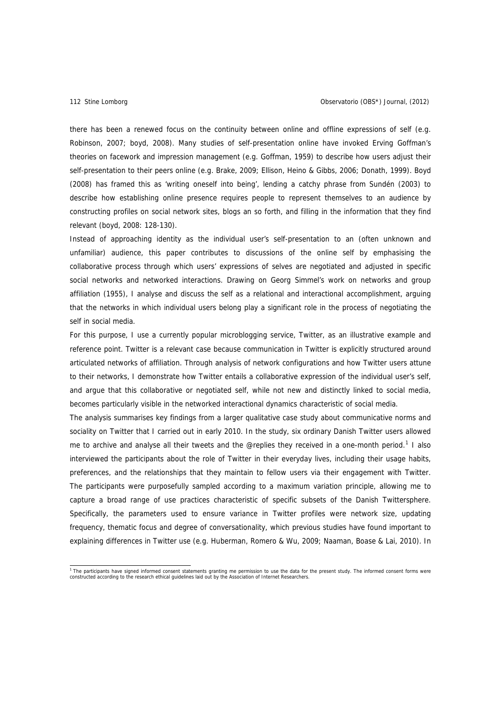there has been a renewed focus on the continuity between online and offline expressions of self (e.g. Robinson, 2007; boyd, 2008). Many studies of self-presentation online have invoked Erving Goffman's theories on facework and impression management (e.g. Goffman, 1959) to describe how users adjust their self-presentation to their peers online (e.g. Brake, 2009; Ellison, Heino & Gibbs, 2006; Donath, 1999). Boyd (2008) has framed this as 'writing oneself into being', lending a catchy phrase from Sundén (2003) to describe how establishing online presence requires people to represent themselves to an audience by constructing profiles on social network sites, blogs an so forth, and filling in the information that they find relevant (boyd, 2008: 128-130).

Instead of approaching identity as the individual user's self-presentation to an (often unknown and unfamiliar) audience, this paper contributes to discussions of the online self by emphasising the collaborative process through which users' expressions of selves are negotiated and adjusted in specific social networks and networked interactions. Drawing on Georg Simmel's work on networks and group affiliation (1955), I analyse and discuss the self as a relational and interactional accomplishment, arguing that the networks in which individual users belong play a significant role in the process of negotiating the self in social media.

For this purpose, I use a currently popular microblogging service, Twitter, as an illustrative example and reference point. Twitter is a relevant case because communication in Twitter is explicitly structured around articulated networks of affiliation. Through analysis of network configurations and how Twitter users attune to their networks, I demonstrate how Twitter entails a collaborative expression of the individual user's self, and argue that this collaborative or negotiated self, while not new and distinctly linked to social media, becomes particularly visible in the networked interactional dynamics characteristic of social media.

The analysis summarises key findings from a larger qualitative case study about communicative norms and sociality on Twitter that I carried out in early 2010. In the study, six ordinary Danish Twitter users allowed me to archive and analyse all their tweets and the @replies they received in a one-month period.<sup>[1](#page-1-0)</sup> I also interviewed the participants about the role of Twitter in their everyday lives, including their usage habits, preferences, and the relationships that they maintain to fellow users via their engagement with Twitter. The participants were purposefully sampled according to a maximum variation principle, allowing me to capture a broad range of use practices characteristic of specific subsets of the Danish Twittersphere. Specifically, the parameters used to ensure variance in Twitter profiles were network size, updating frequency, thematic focus and degree of conversationality, which previous studies have found important to explaining differences in Twitter use (e.g. Huberman, Romero & Wu, 2009; Naaman, Boase & Lai, 2010). In

<span id="page-1-0"></span><sup>&</sup>lt;sup>1</sup> The participants have signed informed consent statements granting me permission to use the data for the present study. The informed consent forms were<br>constructed according to the research ethical guidelines laid out b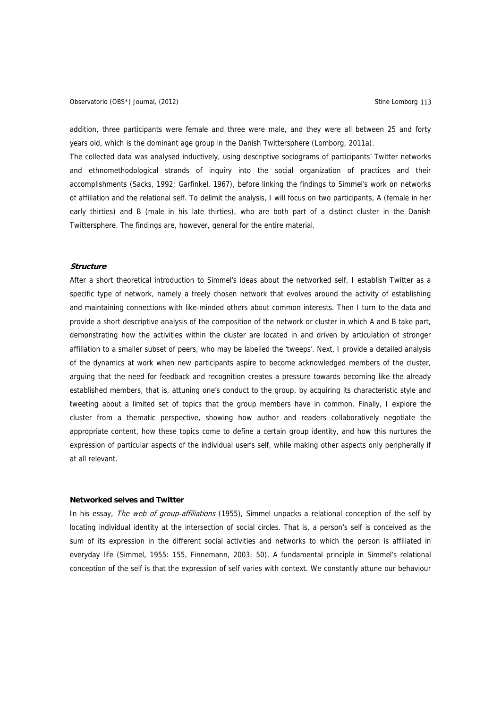Observatorio (OBS\*) Journal, (2012) Charles Company of Company Stine Lomborg 113

addition, three participants were female and three were male, and they were all between 25 and forty years old, which is the dominant age group in the Danish Twittersphere (Lomborg, 2011a).

The collected data was analysed inductively, using descriptive sociograms of participants' Twitter networks and ethnomethodological strands of inquiry into the social organization of practices and their accomplishments (Sacks, 1992; Garfinkel, 1967), before linking the findings to Simmel's work on networks of affiliation and the relational self. To delimit the analysis, I will focus on two participants, A (female in her early thirties) and B (male in his late thirties), who are both part of a distinct cluster in the Danish Twittersphere. The findings are, however, general for the entire material.

### **Structure**

After a short theoretical introduction to Simmel's ideas about the networked self, I establish Twitter as a specific type of network, namely a freely chosen network that evolves around the activity of establishing and maintaining connections with like-minded others about common interests. Then I turn to the data and provide a short descriptive analysis of the composition of the network or cluster in which A and B take part, demonstrating how the activities within the cluster are located in and driven by articulation of stronger affiliation to a smaller subset of peers, who may be labelled the 'tweeps'. Next, I provide a detailed analysis of the dynamics at work when new participants aspire to become acknowledged members of the cluster, arguing that the need for feedback and recognition creates a pressure towards becoming like the already established members, that is, attuning one's conduct to the group, by acquiring its characteristic style and tweeting about a limited set of topics that the group members have in common. Finally, I explore the cluster from a thematic perspective, showing how author and readers collaboratively negotiate the appropriate content, how these topics come to define a certain group identity, and how this nurtures the expression of particular aspects of the individual user's self, while making other aspects only peripherally if at all relevant.

# **Networked selves and Twitter**

In his essay, The web of group-affiliations (1955), Simmel unpacks a relational conception of the self by locating individual identity at the intersection of social circles. That is, a person's self is conceived as the sum of its expression in the different social activities and networks to which the person is affiliated in everyday life (Simmel, 1955: 155, Finnemann, 2003: 50). A fundamental principle in Simmel's relational conception of the self is that the expression of self varies with context. We constantly attune our behaviour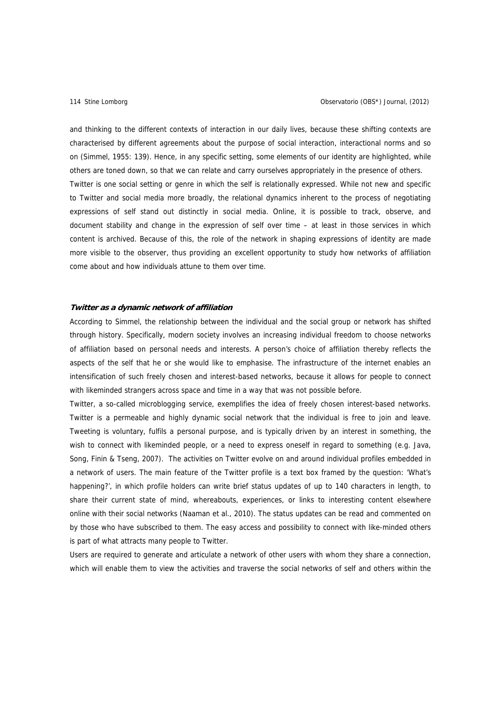and thinking to the different contexts of interaction in our daily lives, because these shifting contexts are characterised by different agreements about the purpose of social interaction, interactional norms and so on (Simmel, 1955: 139). Hence, in any specific setting, some elements of our identity are highlighted, while others are toned down, so that we can relate and carry ourselves appropriately in the presence of others. Twitter is one social setting or genre in which the self is relationally expressed. While not new and specific to Twitter and social media more broadly, the relational dynamics inherent to the process of negotiating expressions of self stand out distinctly in social media. Online, it is possible to track, observe, and document stability and change in the expression of self over time – at least in those services in which content is archived. Because of this, the role of the network in shaping expressions of identity are made more visible to the observer, thus providing an excellent opportunity to study how networks of affiliation come about and how individuals attune to them over time.

# **Twitter as a dynamic network of affiliation**

According to Simmel, the relationship between the individual and the social group or network has shifted through history. Specifically, modern society involves an increasing individual freedom to choose networks of affiliation based on personal needs and interests. A person's choice of affiliation thereby reflects the aspects of the self that he or she would like to emphasise. The infrastructure of the internet enables an intensification of such freely chosen and interest-based networks, because it allows for people to connect with likeminded strangers across space and time in a way that was not possible before.

Twitter, a so-called microblogging service, exemplifies the idea of freely chosen interest-based networks. Twitter is a permeable and highly dynamic social network that the individual is free to join and leave. Tweeting is voluntary, fulfils a personal purpose, and is typically driven by an interest in something, the wish to connect with likeminded people, or a need to express oneself in regard to something (e.g. Java, Song, Finin & Tseng, 2007). The activities on Twitter evolve on and around individual profiles embedded in a network of users. The main feature of the Twitter profile is a text box framed by the question: 'What's happening?', in which profile holders can write brief status updates of up to 140 characters in length, to share their current state of mind, whereabouts, experiences, or links to interesting content elsewhere online with their social networks (Naaman et al., 2010). The status updates can be read and commented on by those who have subscribed to them. The easy access and possibility to connect with like-minded others is part of what attracts many people to Twitter.

Users are required to generate and articulate a network of other users with whom they share a connection, which will enable them to view the activities and traverse the social networks of self and others within the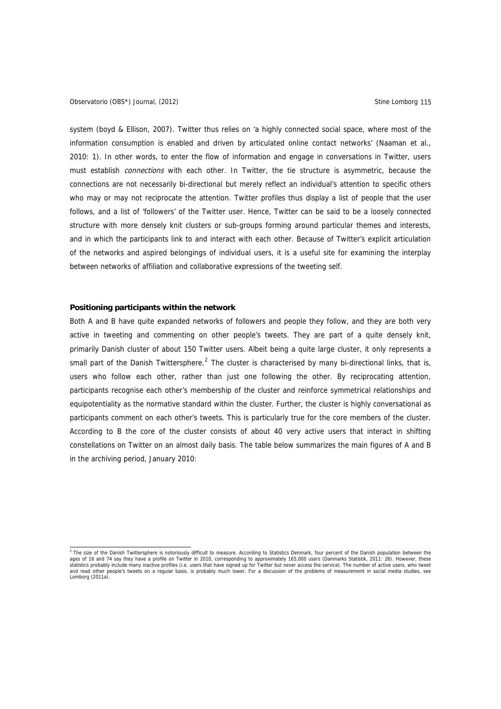system (boyd & Ellison, 2007). Twitter thus relies on 'a highly connected social space, where most of the information consumption is enabled and driven by articulated online contact networks' (Naaman et al., 2010: 1). In other words, to enter the flow of information and engage in conversations in Twitter, users must establish *connections* with each other. In Twitter, the tie structure is asymmetric, because the connections are not necessarily bi-directional but merely reflect an individual's attention to specific others who may or may not reciprocate the attention. Twitter profiles thus display a list of people that the user follows, and a list of 'followers' of the Twitter user. Hence, Twitter can be said to be a loosely connected structure with more densely knit clusters or sub-groups forming around particular themes and interests, and in which the participants link to and interact with each other. Because of Twitter's explicit articulation of the networks and aspired belongings of individual users, it is a useful site for examining the interplay between networks of affiliation and collaborative expressions of the tweeting self.

# **Positioning participants within the network**

Both A and B have quite expanded networks of followers and people they follow, and they are both very active in tweeting and commenting on other people's tweets. They are part of a quite densely knit, primarily Danish cluster of about 150 Twitter users. Albeit being a quite large cluster, it only represents a small part of the Danish Twittersphere.<sup>[2](#page-4-0)</sup> The cluster is characterised by many bi-directional links, that is, users who follow each other, rather than just one following the other. By reciprocating attention, participants recognise each other's membership of the cluster and reinforce symmetrical relationships and equipotentiality as the normative standard within the cluster. Further, the cluster is highly conversational as participants comment on each other's tweets. This is particularly true for the core members of the cluster. According to B the core of the cluster consists of about 40 very active users that interact in shifting constellations on Twitter on an almost daily basis. The table below summarizes the main figures of A and B in the archiving period, January 2010:

<span id="page-4-0"></span><sup>&</sup>lt;sup>2</sup> The size of the Danish Twittersphere is notoriously difficult to measure. According to Statistics Denmark, four percent of the Danish population between the ages of 16 and 74 say they have a profile on Twitter in 2010, corresponding to approximately 165,000 users (Danmarks Statistik, 2011: 26). However, these<br>statistics probably include many inactive profiles (i.e. users that and read other people's tweets on a regular basis, is probably much lower. For a discussion of the problems of measurement in social media studies, see and read other pro-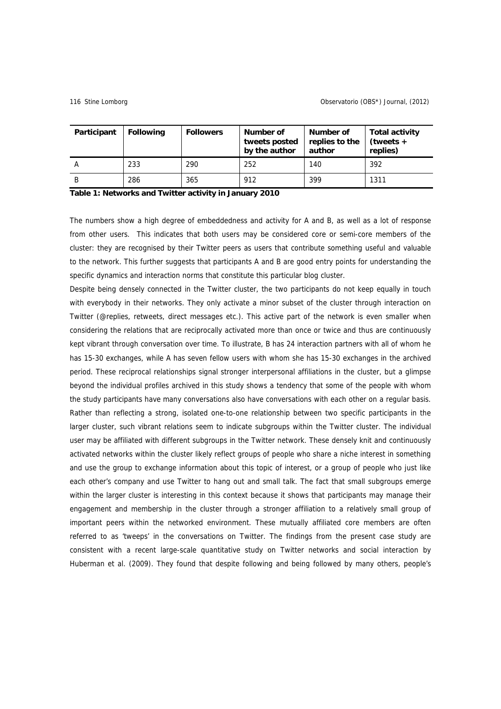| Participant | <b>Following</b> | <b>Followers</b> | Number of<br>tweets posted<br>by the author | Number of<br>replies to the<br>author | <b>Total activity</b><br>$(tweets +$<br>replies) |
|-------------|------------------|------------------|---------------------------------------------|---------------------------------------|--------------------------------------------------|
|             | 233              | 290              | 252                                         | 140                                   | 392                                              |
| В           | 286              | 365              | 912                                         | 399                                   | 1311                                             |

### **Table 1: Networks and Twitter activity in January 2010**

The numbers show a high degree of embeddedness and activity for A and B, as well as a lot of response from other users. This indicates that both users may be considered core or semi-core members of the cluster: they are recognised by their Twitter peers as users that contribute something useful and valuable to the network. This further suggests that participants A and B are good entry points for understanding the specific dynamics and interaction norms that constitute this particular blog cluster.

Despite being densely connected in the Twitter cluster, the two participants do not keep equally in touch with everybody in their networks. They only activate a minor subset of the cluster through interaction on Twitter (@replies, retweets, direct messages etc.). This active part of the network is even smaller when considering the relations that are reciprocally activated more than once or twice and thus are continuously kept vibrant through conversation over time. To illustrate, B has 24 interaction partners with all of whom he has 15-30 exchanges, while A has seven fellow users with whom she has 15-30 exchanges in the archived period. These reciprocal relationships signal stronger interpersonal affiliations in the cluster, but a glimpse beyond the individual profiles archived in this study shows a tendency that some of the people with whom the study participants have many conversations also have conversations with each other on a regular basis. Rather than reflecting a strong, isolated one-to-one relationship between two specific participants in the larger cluster, such vibrant relations seem to indicate subgroups within the Twitter cluster. The individual user may be affiliated with different subgroups in the Twitter network. These densely knit and continuously activated networks within the cluster likely reflect groups of people who share a niche interest in something and use the group to exchange information about this topic of interest, or a group of people who just like each other's company and use Twitter to hang out and small talk. The fact that small subgroups emerge within the larger cluster is interesting in this context because it shows that participants may manage their engagement and membership in the cluster through a stronger affiliation to a relatively small group of important peers within the networked environment. These mutually affiliated core members are often referred to as 'tweeps' in the conversations on Twitter. The findings from the present case study are consistent with a recent large-scale quantitative study on Twitter networks and social interaction by Huberman et al. (2009). They found that despite following and being followed by many others, people's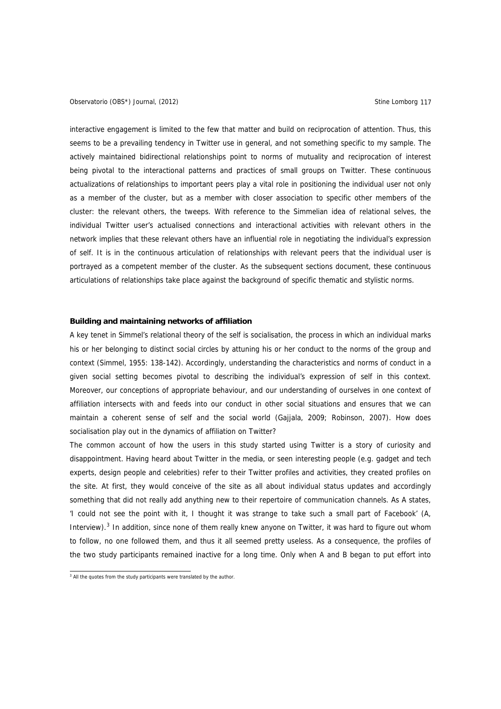interactive engagement is limited to the few that matter and build on reciprocation of attention. Thus, this seems to be a prevailing tendency in Twitter use in general, and not something specific to my sample. The actively maintained bidirectional relationships point to norms of mutuality and reciprocation of interest being pivotal to the interactional patterns and practices of small groups on Twitter. These continuous actualizations of relationships to important peers play a vital role in positioning the individual user not only as a member of the cluster, but as a member with closer association to specific other members of the cluster: the relevant others, the tweeps. With reference to the Simmelian idea of relational selves, the individual Twitter user's actualised connections and interactional activities with relevant others in the network implies that these relevant others have an influential role in negotiating the individual's expression of self. It is in the continuous articulation of relationships with relevant peers that the individual user is portrayed as a competent member of the cluster. As the subsequent sections document, these continuous articulations of relationships take place against the background of specific thematic and stylistic norms.

# **Building and maintaining networks of affiliation**

A key tenet in Simmel's relational theory of the self is socialisation, the process in which an individual marks his or her belonging to distinct social circles by attuning his or her conduct to the norms of the group and context (Simmel, 1955: 138-142). Accordingly, understanding the characteristics and norms of conduct in a given social setting becomes pivotal to describing the individual's expression of self in this context. Moreover, our conceptions of appropriate behaviour, and our understanding of ourselves in one context of affiliation intersects with and feeds into our conduct in other social situations and ensures that we can maintain a coherent sense of self and the social world (Gajjala, 2009; Robinson, 2007). How does socialisation play out in the dynamics of affiliation on Twitter?

The common account of how the users in this study started using Twitter is a story of curiosity and disappointment. Having heard about Twitter in the media, or seen interesting people (e.g. gadget and tech experts, design people and celebrities) refer to their Twitter profiles and activities, they created profiles on the site. At first, they would conceive of the site as all about individual status updates and accordingly something that did not really add anything new to their repertoire of communication channels. As A states, 'I could not see the point with it, I thought it was strange to take such a small part of Facebook' (A, Interview).<sup>[3](#page-6-0)</sup> In addition, since none of them really knew anyone on Twitter, it was hard to figure out whom to follow, no one followed them, and thus it all seemed pretty useless. As a consequence, the profiles of the two study participants remained inactive for a long time. Only when A and B began to put effort into

<span id="page-6-0"></span><sup>&</sup>lt;sup>3</sup> All the quotes from the study participants were translated by the author.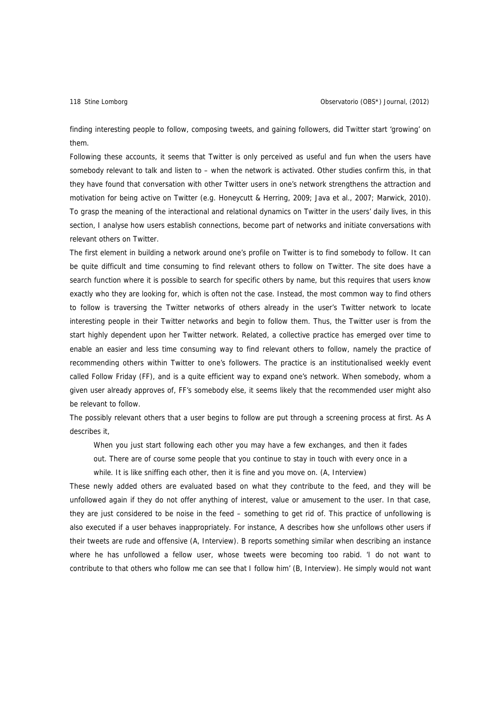finding interesting people to follow, composing tweets, and gaining followers, did Twitter start 'growing' on them.

Following these accounts, it seems that Twitter is only perceived as useful and fun when the users have somebody relevant to talk and listen to – when the network is activated. Other studies confirm this, in that they have found that conversation with other Twitter users in one's network strengthens the attraction and motivation for being active on Twitter (e.g. Honeycutt & Herring, 2009; Java et al., 2007; Marwick, 2010). To grasp the meaning of the interactional and relational dynamics on Twitter in the users' daily lives, in this section, I analyse how users establish connections, become part of networks and initiate conversations with relevant others on Twitter.

The first element in building a network around one's profile on Twitter is to find somebody to follow. It can be quite difficult and time consuming to find relevant others to follow on Twitter. The site does have a search function where it is possible to search for specific others by name, but this requires that users know exactly who they are looking for, which is often not the case. Instead, the most common way to find others to follow is traversing the Twitter networks of others already in the user's Twitter network to locate interesting people in their Twitter networks and begin to follow them. Thus, the Twitter user is from the start highly dependent upon her Twitter network. Related, a collective practice has emerged over time to enable an easier and less time consuming way to find relevant others to follow, namely the practice of recommending others within Twitter to one's followers. The practice is an institutionalised weekly event called Follow Friday (FF), and is a quite efficient way to expand one's network. When somebody, whom a given user already approves of, FF's somebody else, it seems likely that the recommended user might also be relevant to follow.

The possibly relevant others that a user begins to follow are put through a screening process at first. As A describes it,

When you just start following each other you may have a few exchanges, and then it fades

out. There are of course some people that you continue to stay in touch with every once in a

while. It is like sniffing each other, then it is fine and you move on. (A, Interview)

These newly added others are evaluated based on what they contribute to the feed, and they will be unfollowed again if they do not offer anything of interest, value or amusement to the user. In that case, they are just considered to be noise in the feed – something to get rid of. This practice of unfollowing is also executed if a user behaves inappropriately. For instance, A describes how she unfollows other users if their tweets are rude and offensive (A, Interview). B reports something similar when describing an instance where he has unfollowed a fellow user, whose tweets were becoming too rabid. 'I do not want to contribute to that others who follow me can see that I follow him' (B, Interview). He simply would not want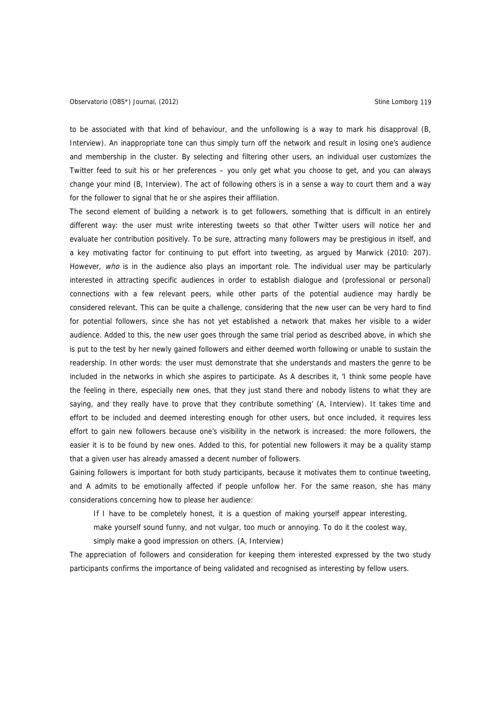to be associated with that kind of behaviour, and the unfollowing is a way to mark his disapproval (B, Interview). An inappropriate tone can thus simply turn off the network and result in losing one's audience and membership in the cluster. By selecting and filtering other users, an individual user customizes the Twitter feed to suit his or her preferences – you only get what you choose to get, and you can always change your mind (B, Interview). The act of following others is in a sense a way to court them and a way for the follower to signal that he or she aspires their affiliation.

The second element of building a network is to get followers, something that is difficult in an entirely different way: the user must write interesting tweets so that other Twitter users will notice her and evaluate her contribution positively. To be sure, attracting many followers may be prestigious in itself, and a key motivating factor for continuing to put effort into tweeting, as argued by Marwick (2010: 207). However, who is in the audience also plays an important role. The individual user may be particularly interested in attracting specific audiences in order to establish dialogue and (professional or personal) connections with a few relevant peers, while other parts of the potential audience may hardly be considered relevant. This can be quite a challenge, considering that the new user can be very hard to find for potential followers, since she has not yet established a network that makes her visible to a wider audience. Added to this, the new user goes through the same trial period as described above, in which she is put to the test by her newly gained followers and either deemed worth following or unable to sustain the readership. In other words: the user must demonstrate that she understands and masters the genre to be included in the networks in which she aspires to participate. As A describes it, 'I think some people have the feeling in there, especially new ones, that they just stand there and nobody listens to what they are saying, and they really have to prove that they contribute something' (A, Interview). It takes time and effort to be included and deemed interesting enough for other users, but once included, it requires less effort to gain new followers because one's visibility in the network is increased: the more followers, the easier it is to be found by new ones. Added to this, for potential new followers it may be a quality stamp that a given user has already amassed a decent number of followers.

Gaining followers is important for both study participants, because it motivates them to continue tweeting, and A admits to be emotionally affected if people unfollow her. For the same reason, she has many considerations concerning how to please her audience:

If I have to be completely honest, it is a question of making yourself appear interesting,

make yourself sound funny, and not vulgar, too much or annoying. To do it the coolest way, simply make a good impression on others. (A, Interview)

The appreciation of followers and consideration for keeping them interested expressed by the two study participants confirms the importance of being validated and recognised as interesting by fellow users.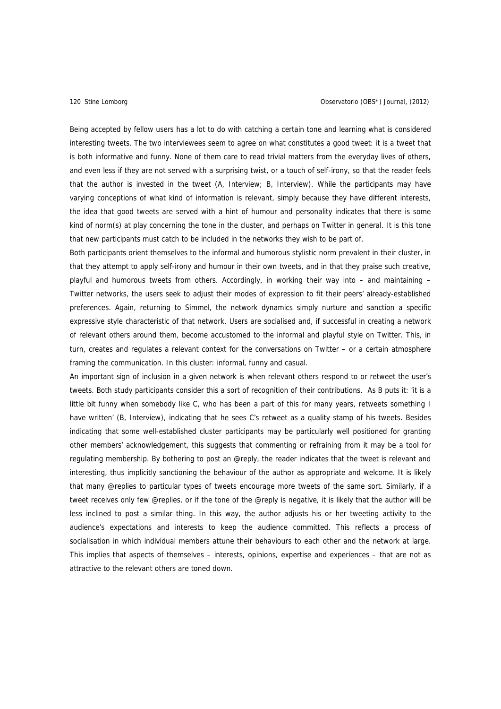Being accepted by fellow users has a lot to do with catching a certain tone and learning what is considered interesting tweets. The two interviewees seem to agree on what constitutes a good tweet: it is a tweet that is both informative and funny. None of them care to read trivial matters from the everyday lives of others, and even less if they are not served with a surprising twist, or a touch of self-irony, so that the reader feels that the author is invested in the tweet (A, Interview; B, Interview). While the participants may have varying conceptions of what kind of information is relevant, simply because they have different interests, the idea that good tweets are served with a hint of humour and personality indicates that there is some kind of norm(s) at play concerning the tone in the cluster, and perhaps on Twitter in general. It is this tone that new participants must catch to be included in the networks they wish to be part of.

Both participants orient themselves to the informal and humorous stylistic norm prevalent in their cluster, in that they attempt to apply self-irony and humour in their own tweets, and in that they praise such creative, playful and humorous tweets from others. Accordingly, in working their way into – and maintaining – Twitter networks, the users seek to adjust their modes of expression to fit their peers' already-established preferences. Again, returning to Simmel, the network dynamics simply nurture and sanction a specific expressive style characteristic of that network. Users are socialised and, if successful in creating a network of relevant others around them, become accustomed to the informal and playful style on Twitter. This, in turn, creates and regulates a relevant context for the conversations on Twitter – or a certain atmosphere framing the communication. In this cluster: informal, funny and casual.

An important sign of inclusion in a given network is when relevant others respond to or retweet the user's tweets. Both study participants consider this a sort of recognition of their contributions. As B puts it: 'it is a little bit funny when somebody like C, who has been a part of this for many years, retweets something I have written' (B, Interview), indicating that he sees C's retweet as a quality stamp of his tweets. Besides indicating that some well-established cluster participants may be particularly well positioned for granting other members' acknowledgement, this suggests that commenting or refraining from it may be a tool for regulating membership. By bothering to post an @reply, the reader indicates that the tweet is relevant and interesting, thus implicitly sanctioning the behaviour of the author as appropriate and welcome. It is likely that many @replies to particular types of tweets encourage more tweets of the same sort. Similarly, if a tweet receives only few @replies, or if the tone of the @reply is negative, it is likely that the author will be less inclined to post a similar thing. In this way, the author adjusts his or her tweeting activity to the audience's expectations and interests to keep the audience committed. This reflects a process of socialisation in which individual members attune their behaviours to each other and the network at large. This implies that aspects of themselves – interests, opinions, expertise and experiences – that are not as attractive to the relevant others are toned down.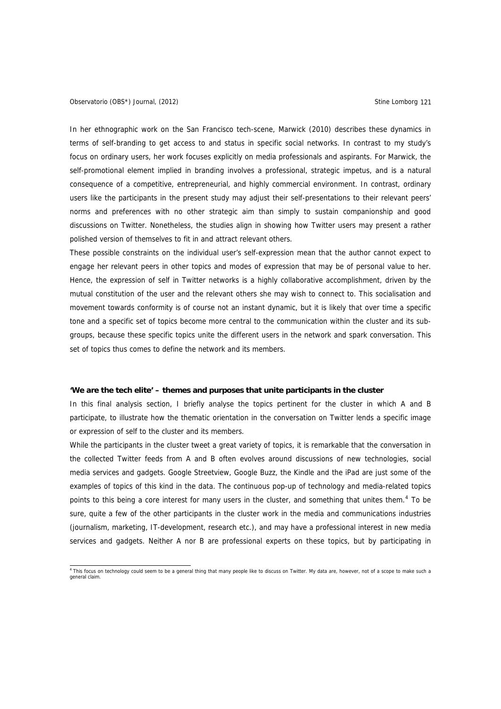# Observatorio (OBS\*) Journal, (2012) Charles Company of Contractor Company of Company Stine Lomborg 121

In her ethnographic work on the San Francisco tech-scene, Marwick (2010) describes these dynamics in terms of self-branding to get access to and status in specific social networks. In contrast to my study's focus on ordinary users, her work focuses explicitly on media professionals and aspirants. For Marwick, the self-promotional element implied in branding involves a professional, strategic impetus, and is a natural consequence of a competitive, entrepreneurial, and highly commercial environment. In contrast, ordinary users like the participants in the present study may adjust their self-presentations to their relevant peers' norms and preferences with no other strategic aim than simply to sustain companionship and good discussions on Twitter. Nonetheless, the studies align in showing how Twitter users may present a rather polished version of themselves to fit in and attract relevant others.

These possible constraints on the individual user's self-expression mean that the author cannot expect to engage her relevant peers in other topics and modes of expression that may be of personal value to her. Hence, the expression of self in Twitter networks is a highly collaborative accomplishment, driven by the mutual constitution of the user and the relevant others she may wish to connect to. This socialisation and movement towards conformity is of course not an instant dynamic, but it is likely that over time a specific tone and a specific set of topics become more central to the communication within the cluster and its subgroups, because these specific topics unite the different users in the network and spark conversation. This set of topics thus comes to define the network and its members.

### **'We are the tech elite' – themes and purposes that unite participants in the cluster**

In this final analysis section, I briefly analyse the topics pertinent for the cluster in which A and B participate, to illustrate how the thematic orientation in the conversation on Twitter lends a specific image or expression of self to the cluster and its members.

While the participants in the cluster tweet a great variety of topics, it is remarkable that the conversation in the collected Twitter feeds from A and B often evolves around discussions of new technologies, social media services and gadgets. Google Streetview, Google Buzz, the Kindle and the iPad are just some of the examples of topics of this kind in the data. The continuous pop-up of technology and media-related topics points to this being a core interest for many users in the cluster, and something that unites them.<sup>[4](#page-10-0)</sup> To be sure, quite a few of the other participants in the cluster work in the media and communications industries (journalism, marketing, IT-development, research etc.), and may have a professional interest in new media services and gadgets. Neither A nor B are professional experts on these topics, but by participating in

<span id="page-10-0"></span> 4 This focus on technology could seem to be a general thing that many people like to discuss on Twitter. My data are, however, not of a scope to make such a general claim.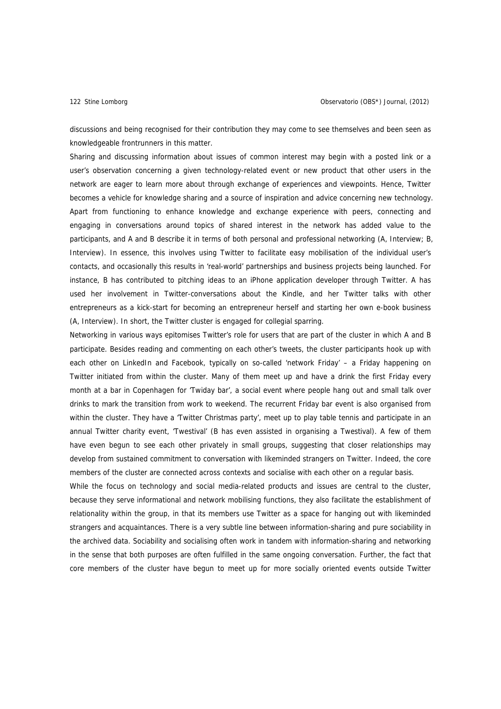discussions and being recognised for their contribution they may come to see themselves and been seen as knowledgeable frontrunners in this matter.

Sharing and discussing information about issues of common interest may begin with a posted link or a user's observation concerning a given technology-related event or new product that other users in the network are eager to learn more about through exchange of experiences and viewpoints. Hence, Twitter becomes a vehicle for knowledge sharing and a source of inspiration and advice concerning new technology. Apart from functioning to enhance knowledge and exchange experience with peers, connecting and engaging in conversations around topics of shared interest in the network has added value to the participants, and A and B describe it in terms of both personal and professional networking (A, Interview; B, Interview). In essence, this involves using Twitter to facilitate easy mobilisation of the individual user's contacts, and occasionally this results in 'real-world' partnerships and business projects being launched. For instance, B has contributed to pitching ideas to an iPhone application developer through Twitter. A has used her involvement in Twitter-conversations about the Kindle, and her Twitter talks with other entrepreneurs as a kick-start for becoming an entrepreneur herself and starting her own e-book business (A, Interview). In short, the Twitter cluster is engaged for collegial sparring.

Networking in various ways epitomises Twitter's role for users that are part of the cluster in which A and B participate. Besides reading and commenting on each other's tweets, the cluster participants hook up with each other on LinkedIn and Facebook, typically on so-called 'network Friday' - a Friday happening on Twitter initiated from within the cluster. Many of them meet up and have a drink the first Friday every month at a bar in Copenhagen for 'Twiday bar', a social event where people hang out and small talk over drinks to mark the transition from work to weekend. The recurrent Friday bar event is also organised from within the cluster. They have a 'Twitter Christmas party', meet up to play table tennis and participate in an annual Twitter charity event, 'Twestival' (B has even assisted in organising a Twestival). A few of them have even begun to see each other privately in small groups, suggesting that closer relationships may develop from sustained commitment to conversation with likeminded strangers on Twitter. Indeed, the core members of the cluster are connected across contexts and socialise with each other on a regular basis.

While the focus on technology and social media-related products and issues are central to the cluster, because they serve informational and network mobilising functions, they also facilitate the establishment of relationality within the group, in that its members use Twitter as a space for hanging out with likeminded strangers and acquaintances. There is a very subtle line between information-sharing and pure sociability in the archived data. Sociability and socialising often work in tandem with information-sharing and networking in the sense that both purposes are often fulfilled in the same ongoing conversation. Further, the fact that core members of the cluster have begun to meet up for more socially oriented events outside Twitter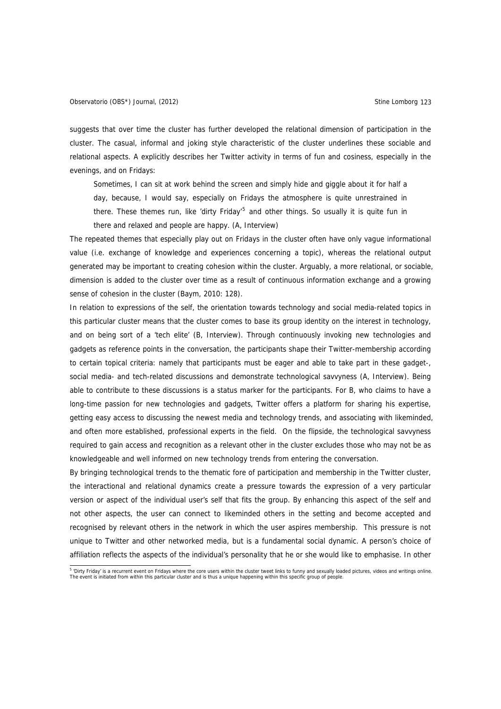suggests that over time the cluster has further developed the relational dimension of participation in the cluster. The casual, informal and joking style characteristic of the cluster underlines these sociable and relational aspects. A explicitly describes her Twitter activity in terms of fun and cosiness, especially in the evenings, and on Fridays:

Sometimes, I can sit at work behind the screen and simply hide and giggle about it for half a day, because, I would say, especially on Fridays the atmosphere is quite unrestrained in there. These themes run, like 'dirty Friday'<sup>[5](#page-12-0)</sup> and other things. So usually it is quite fun in there and relaxed and people are happy. (A, Interview)

The repeated themes that especially play out on Fridays in the cluster often have only vague informational value (i.e. exchange of knowledge and experiences concerning a topic), whereas the relational output generated may be important to creating cohesion within the cluster. Arguably, a more relational, or sociable, dimension is added to the cluster over time as a result of continuous information exchange and a growing sense of cohesion in the cluster (Baym, 2010: 128).

In relation to expressions of the self, the orientation towards technology and social media-related topics in this particular cluster means that the cluster comes to base its group identity on the interest in technology, and on being sort of a 'tech elite' (B, Interview). Through continuously invoking new technologies and gadgets as reference points in the conversation, the participants shape their Twitter-membership according to certain topical criteria: namely that participants must be eager and able to take part in these gadget-, social media- and tech-related discussions and demonstrate technological savvyness (A, Interview). Being able to contribute to these discussions is a status marker for the participants. For B, who claims to have a long-time passion for new technologies and gadgets, Twitter offers a platform for sharing his expertise, getting easy access to discussing the newest media and technology trends, and associating with likeminded, and often more established, professional experts in the field. On the flipside, the technological savvyness required to gain access and recognition as a relevant other in the cluster excludes those who may not be as knowledgeable and well informed on new technology trends from entering the conversation.

By bringing technological trends to the thematic fore of participation and membership in the Twitter cluster, the interactional and relational dynamics create a pressure towards the expression of a very particular version or aspect of the individual user's self that fits the group. By enhancing this aspect of the self and not other aspects, the user can connect to likeminded others in the setting and become accepted and recognised by relevant others in the network in which the user aspires membership. This pressure is not unique to Twitter and other networked media, but is a fundamental social dynamic. A person's choice of affiliation reflects the aspects of the individual's personality that he or she would like to emphasise. In other

<span id="page-12-0"></span><sup>&</sup>lt;sup>5</sup> 'Dirty Friday' is a recurrent event on Fridays where the core users within the cluster tweet links to funny and sexually loaded pictures, videos and writings online. The event is initiated from within this particular cluster and is thus a unique happening within this specific group of people.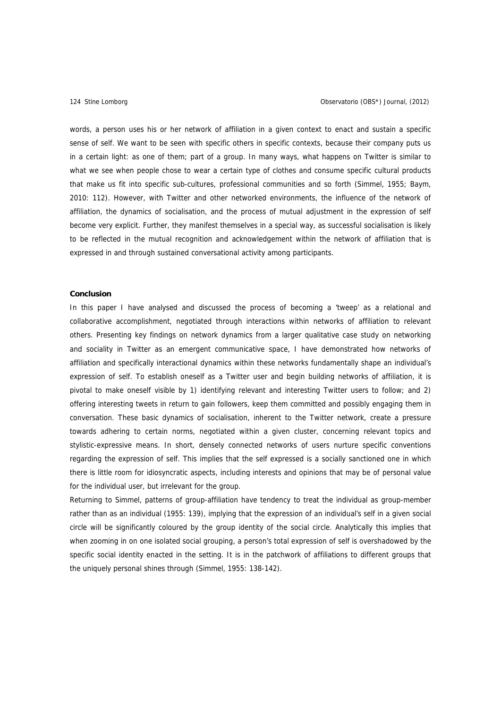words, a person uses his or her network of affiliation in a given context to enact and sustain a specific sense of self. We want to be seen with specific others in specific contexts, because their company puts us in a certain light: as one of them; part of a group. In many ways, what happens on Twitter is similar to what we see when people chose to wear a certain type of clothes and consume specific cultural products that make us fit into specific sub-cultures, professional communities and so forth (Simmel, 1955; Baym, 2010: 112). However, with Twitter and other networked environments, the influence of the network of affiliation, the dynamics of socialisation, and the process of mutual adjustment in the expression of self become very explicit. Further, they manifest themselves in a special way, as successful socialisation is likely to be reflected in the mutual recognition and acknowledgement within the network of affiliation that is expressed in and through sustained conversational activity among participants.

## **Conclusion**

In this paper I have analysed and discussed the process of becoming a 'tweep' as a relational and collaborative accomplishment, negotiated through interactions within networks of affiliation to relevant others. Presenting key findings on network dynamics from a larger qualitative case study on networking and sociality in Twitter as an emergent communicative space, I have demonstrated how networks of affiliation and specifically interactional dynamics within these networks fundamentally shape an individual's expression of self. To establish oneself as a Twitter user and begin building networks of affiliation, it is pivotal to make oneself visible by 1) identifying relevant and interesting Twitter users to follow; and 2) offering interesting tweets in return to gain followers, keep them committed and possibly engaging them in conversation. These basic dynamics of socialisation, inherent to the Twitter network, create a pressure towards adhering to certain norms, negotiated within a given cluster, concerning relevant topics and stylistic-expressive means. In short, densely connected networks of users nurture specific conventions regarding the expression of self. This implies that the self expressed is a socially sanctioned one in which there is little room for idiosyncratic aspects, including interests and opinions that may be of personal value for the individual user, but irrelevant for the group.

Returning to Simmel, patterns of group-affiliation have tendency to treat the individual as group-member rather than as an individual (1955: 139), implying that the expression of an individual's self in a given social circle will be significantly coloured by the group identity of the social circle. Analytically this implies that when zooming in on one isolated social grouping, a person's total expression of self is overshadowed by the specific social identity enacted in the setting. It is in the patchwork of affiliations to different groups that the uniquely personal shines through (Simmel, 1955: 138-142).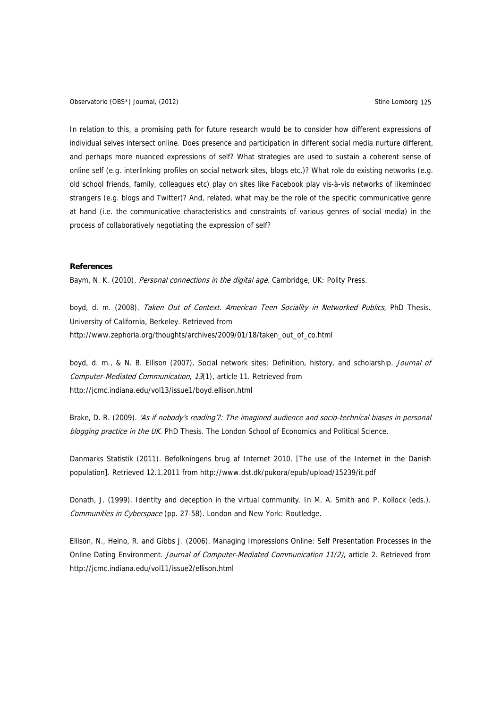Observatorio (OBS\*) Journal, (2012) Charles and Company Stine Lomborg 125

In relation to this, a promising path for future research would be to consider how different expressions of individual selves intersect online. Does presence and participation in different social media nurture different, and perhaps more nuanced expressions of self? What strategies are used to sustain a coherent sense of online self (e.g. interlinking profiles on social network sites, blogs etc.)? What role do existing networks (e.g. old school friends, family, colleagues etc) play on sites like Facebook play vis-à-vis networks of likeminded strangers (e.g. blogs and Twitter)? And, related, what may be the role of the specific communicative genre at hand (i.e. the communicative characteristics and constraints of various genres of social media) in the process of collaboratively negotiating the expression of self?

# **References**

Baym, N. K. (2010). Personal connections in the digital age. Cambridge, UK: Polity Press.

boyd, d. m. (2008). Taken Out of Context. American Teen Sociality in Networked Publics, PhD Thesis. University of California, Berkeley. Retrieved from http://www.zephoria.org/thoughts/archives/2009/01/18/taken\_out\_of\_co.html

boyd, d. m., & N. B. Ellison (2007). Social network sites: Definition, history, and scholarship. Journal of Computer-Mediated Communication, 13(1), article 11. Retrieved from <http://jcmc.indiana.edu/vol13/issue1/boyd.ellison.html>

Brake, D. R. (2009). 'As if nobody's reading'?: The imagined audience and socio-technical biases in personal blogging practice in the UK. PhD Thesis. The London School of Economics and Political Science.

Danmarks Statistik (2011). Befolkningens brug af Internet 2010. [The use of the Internet in the Danish population]. Retrieved 12.1.2011 from<http://www.dst.dk/pukora/epub/upload/15239/it.pdf>

Donath, J. (1999). Identity and deception in the virtual community. In M. A. Smith and P. Kollock (eds.). Communities in Cyberspace (pp. 27-58). London and New York: Routledge.

Ellison, N., Heino, R. and Gibbs J. (2006). Managing Impressions Online: Self Presentation Processes in the Online Dating Environment. Journal of Computer-Mediated Communication 11(2), article 2. Retrieved from http://jcmc.indiana.edu/vol11/issue2/ellison.html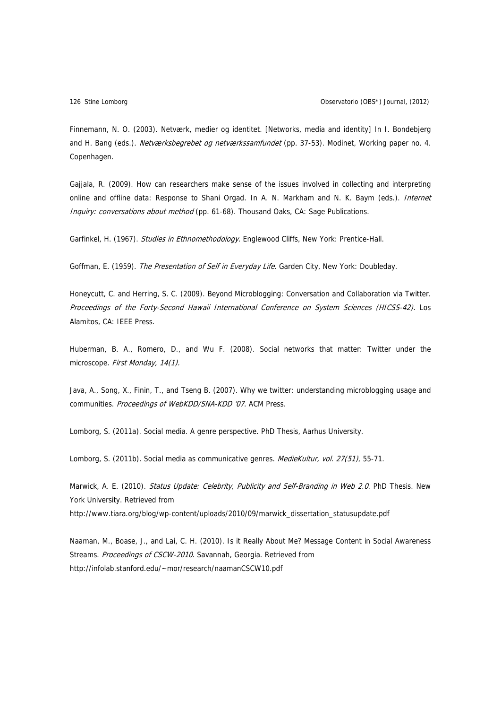Finnemann, N. O. (2003). Netværk, medier og identitet. [Networks, media and identity] In I. Bondebjerg and H. Bang (eds.). Netværksbegrebet og netværkssamfundet (pp. 37-53). Modinet, Working paper no. 4. Copenhagen.

Gajjala, R. (2009). How can researchers make sense of the issues involved in collecting and interpreting online and offline data: Response to Shani Orgad. In A. N. Markham and N. K. Baym (eds.). Internet Inquiry: conversations about method (pp. 61-68). Thousand Oaks, CA: Sage Publications.

Garfinkel, H. (1967). Studies in Ethnomethodology. Englewood Cliffs, New York: Prentice-Hall.

Goffman, E. (1959). The Presentation of Self in Everyday Life. Garden City, New York: Doubleday.

Honeycutt, C. and Herring, S. C. (2009). Beyond Microblogging: Conversation and Collaboration via Twitter. Proceedings of the Forty-Second Hawaii International Conference on System Sciences (HICSS-42). Los Alamitos, CA: IEEE Press.

Huberman, B. A., Romero, D., and Wu F. (2008). Social networks that matter: Twitter under the microscope. First Monday, 14(1).

Java, A., Song, X., Finin, T., and Tseng B. (2007). Why we twitter: understanding microblogging usage and communities. Proceedings of WebKDD/SNA-KDD '07. ACM Press.

Lomborg, S. (2011a). Social media. A genre perspective. PhD Thesis, Aarhus University.

Lomborg, S. (2011b). Social media as communicative genres. MedieKultur, vol. 27(51), 55-71.

Marwick, A. E. (2010). Status Update: Celebrity, Publicity and Self-Branding in Web 2.0. PhD Thesis. New York University. Retrieved from http://www.tiara.org/blog/wp-content/uploads/2010/09/marwick\_dissertation\_statusupdate.pdf

Naaman, M., Boase, J., and Lai, C. H. (2010). [Is it Really About Me? Message Content in Social Awareness](http://infolab.stanford.edu/%7Emor/research/naamanCSCW10.pdf)  [Streams.](http://infolab.stanford.edu/%7Emor/research/naamanCSCW10.pdf) Proceedings of CSCW-2010. Savannah, Georgia. Retrieved from http://infolab.stanford.edu/~mor/research/naamanCSCW10.pdf